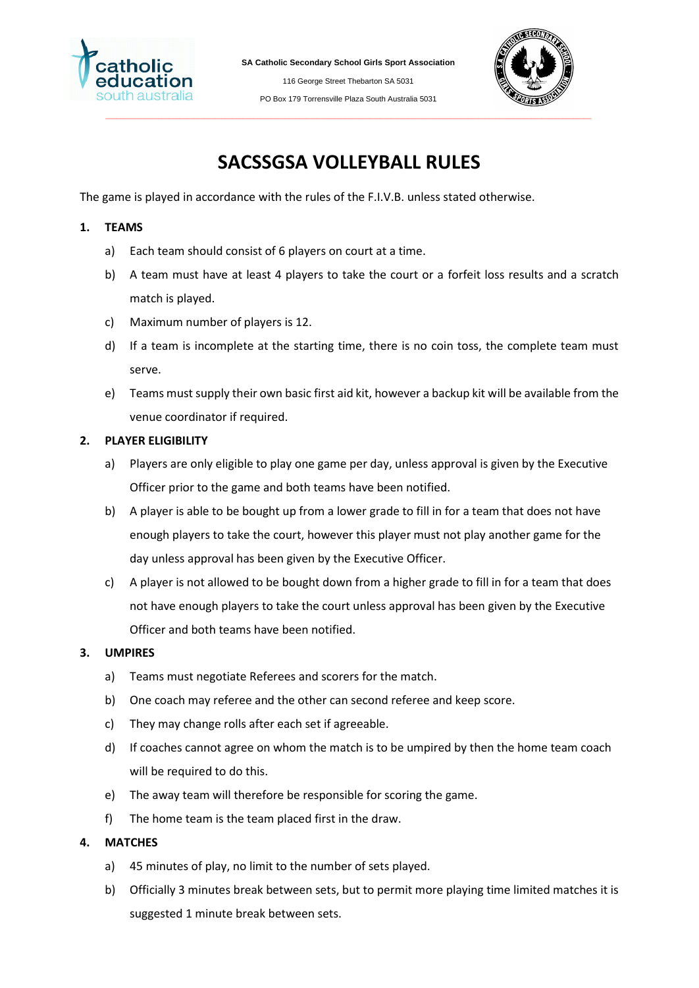

**SA Catholic Secondary School Girls Sport Association**

116 George Street Thebarton SA 5031 PO Box 179 Torrensville Plaza South Australia 5031



# **SACSSGSA VOLLEYBALL RULES**

The game is played in accordance with the rules of the F.I.V.B. unless stated otherwise.

# **1. TEAMS**

- a) Each team should consist of 6 players on court at a time.
- b) A team must have at least 4 players to take the court or a forfeit loss results and a scratch match is played.
- c) Maximum number of players is 12.
- d) If a team is incomplete at the starting time, there is no coin toss, the complete team must serve.
- e) Teams must supply their own basic first aid kit, however a backup kit will be available from the venue coordinator if required.

# **2. PLAYER ELIGIBILITY**

- a) Players are only eligible to play one game per day, unless approval is given by the Executive Officer prior to the game and both teams have been notified.
- b) A player is able to be bought up from a lower grade to fill in for a team that does not have enough players to take the court, however this player must not play another game for the day unless approval has been given by the Executive Officer.
- c) A player is not allowed to be bought down from a higher grade to fill in for a team that does not have enough players to take the court unless approval has been given by the Executive Officer and both teams have been notified.

## **3. UMPIRES**

- a) Teams must negotiate Referees and scorers for the match.
- b) One coach may referee and the other can second referee and keep score.
- c) They may change rolls after each set if agreeable.
- d) If coaches cannot agree on whom the match is to be umpired by then the home team coach will be required to do this.
- e) The away team will therefore be responsible for scoring the game.
- f) The home team is the team placed first in the draw.

# **4. MATCHES**

- a) 45 minutes of play, no limit to the number of sets played.
- b) Officially 3 minutes break between sets, but to permit more playing time limited matches it is suggested 1 minute break between sets.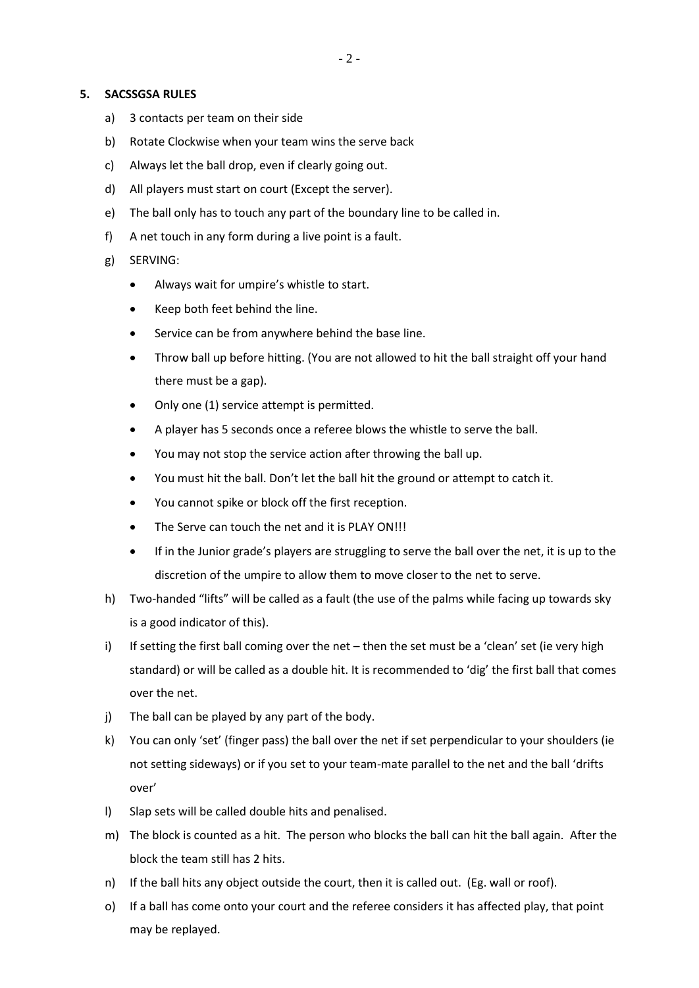#### **5. SACSSGSA RULES**

- a) 3 contacts per team on their side
- b) Rotate Clockwise when your team wins the serve back
- c) Always let the ball drop, even if clearly going out.
- d) All players must start on court (Except the server).
- e) The ball only has to touch any part of the boundary line to be called in.
- f) A net touch in any form during a live point is a fault.
- g) SERVING:
	- Always wait for umpire's whistle to start.
	- Keep both feet behind the line.
	- Service can be from anywhere behind the base line.
	- Throw ball up before hitting. (You are not allowed to hit the ball straight off your hand there must be a gap).
	- Only one (1) service attempt is permitted.
	- A player has 5 seconds once a referee blows the whistle to serve the ball.
	- You may not stop the service action after throwing the ball up.
	- You must hit the ball. Don't let the ball hit the ground or attempt to catch it.
	- You cannot spike or block off the first reception.
	- The Serve can touch the net and it is PLAY ON!!!
	- If in the Junior grade's players are struggling to serve the ball over the net, it is up to the discretion of the umpire to allow them to move closer to the net to serve.
- h) Two-handed "lifts" will be called as a fault (the use of the palms while facing up towards sky is a good indicator of this).
- i) If setting the first ball coming over the net then the set must be a 'clean' set (ie very high standard) or will be called as a double hit. It is recommended to 'dig' the first ball that comes over the net.
- j) The ball can be played by any part of the body.
- k) You can only 'set' (finger pass) the ball over the net if set perpendicular to your shoulders (ie not setting sideways) or if you set to your team-mate parallel to the net and the ball 'drifts over'
- l) Slap sets will be called double hits and penalised.
- m) The block is counted as a hit. The person who blocks the ball can hit the ball again. After the block the team still has 2 hits.
- n) If the ball hits any object outside the court, then it is called out. (Eg. wall or roof).
- o) If a ball has come onto your court and the referee considers it has affected play, that point may be replayed.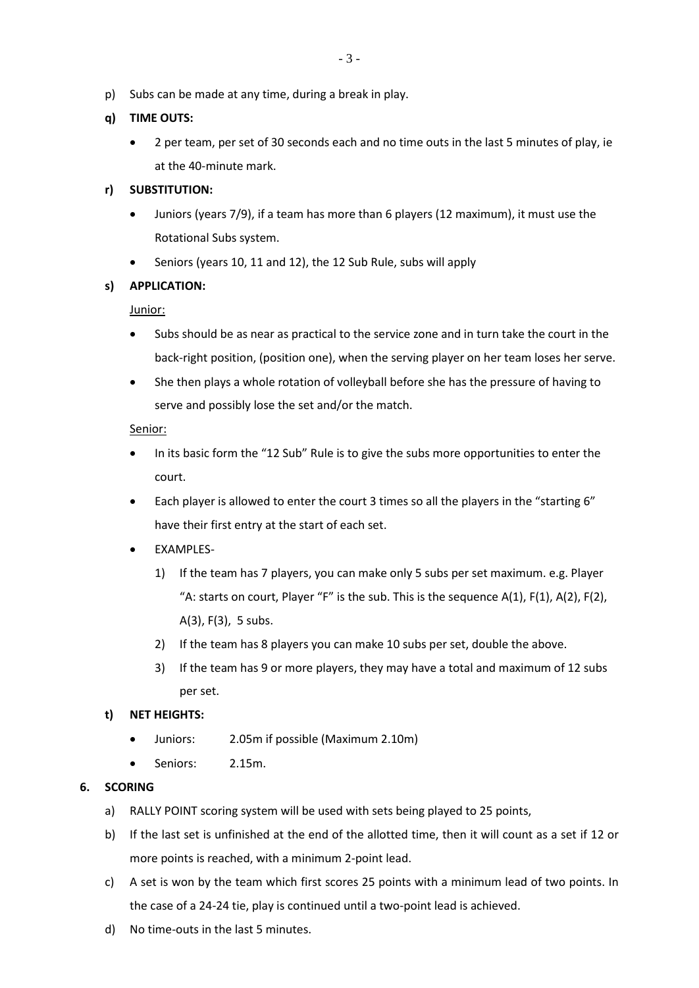p) Subs can be made at any time, during a break in play.

## **q) TIME OUTS:**

• 2 per team, per set of 30 seconds each and no time outs in the last 5 minutes of play, ie at the 40-minute mark.

## **r) SUBSTITUTION:**

- Juniors (years 7/9), if a team has more than 6 players (12 maximum), it must use the Rotational Subs system.
- Seniors (years 10, 11 and 12), the 12 Sub Rule, subs will apply

#### **s) APPLICATION:**

Junior:

- Subs should be as near as practical to the service zone and in turn take the court in the back-right position, (position one), when the serving player on her team loses her serve.
- She then plays a whole rotation of volleyball before she has the pressure of having to serve and possibly lose the set and/or the match.

## Senior:

- In its basic form the "12 Sub" Rule is to give the subs more opportunities to enter the court.
- Each player is allowed to enter the court 3 times so all the players in the "starting 6" have their first entry at the start of each set.
- EXAMPLES-
	- 1) If the team has 7 players, you can make only 5 subs per set maximum. e.g. Player "A: starts on court, Player "F" is the sub. This is the sequence  $A(1)$ ,  $F(1)$ ,  $A(2)$ ,  $F(2)$ , A(3), F(3), 5 subs.
	- 2) If the team has 8 players you can make 10 subs per set, double the above.
	- 3) If the team has 9 or more players, they may have a total and maximum of 12 subs per set.

#### **t) NET HEIGHTS:**

- Juniors: 2.05m if possible (Maximum 2.10m)
- Seniors: 2.15m.

#### **6. SCORING**

- a) RALLY POINT scoring system will be used with sets being played to 25 points,
- b) If the last set is unfinished at the end of the allotted time, then it will count as a set if 12 or more points is reached, with a minimum 2-point lead.
- c) A set is won by the team which first scores 25 points with a minimum lead of two points. In the case of a 24-24 tie, play is continued until a two-point lead is achieved.
- d) No time-outs in the last 5 minutes.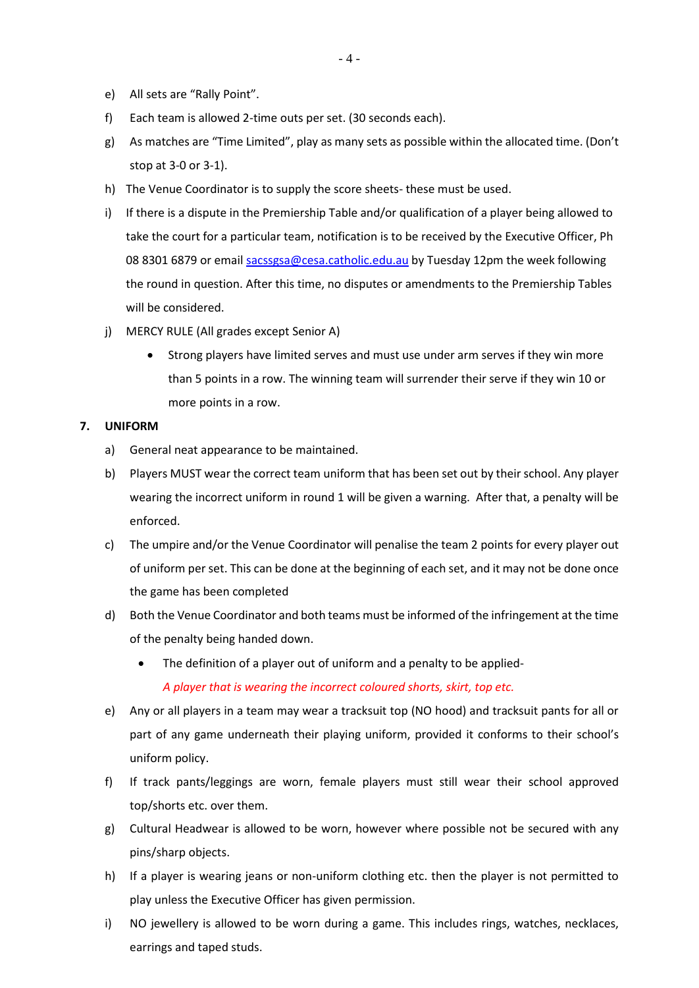- e) All sets are "Rally Point".
- f) Each team is allowed 2-time outs per set. (30 seconds each).
- g) As matches are "Time Limited", play as many sets as possible within the allocated time. (Don't stop at 3-0 or 3-1).
- h) The Venue Coordinator is to supply the score sheets- these must be used.
- i) If there is a dispute in the Premiership Table and/or qualification of a player being allowed to take the court for a particular team, notification is to be received by the Executive Officer, Ph 08 8301 6879 or email [sacssgsa@cesa.catholic.edu.au](mailto:sacssgsa@cesa.catholic.edu.au) by Tuesday 12pm the week following the round in question. After this time, no disputes or amendments to the Premiership Tables will be considered.
- j) MERCY RULE (All grades except Senior A)
	- Strong players have limited serves and must use under arm serves if they win more than 5 points in a row. The winning team will surrender their serve if they win 10 or more points in a row.

#### **7. UNIFORM**

- a) General neat appearance to be maintained.
- b) Players MUST wear the correct team uniform that has been set out by their school. Any player wearing the incorrect uniform in round 1 will be given a warning. After that, a penalty will be enforced.
- c) The umpire and/or the Venue Coordinator will penalise the team 2 points for every player out of uniform per set. This can be done at the beginning of each set, and it may not be done once the game has been completed
- d) Both the Venue Coordinator and both teams must be informed of the infringement at the time of the penalty being handed down.
	- The definition of a player out of uniform and a penalty to be applied-*A player that is wearing the incorrect coloured shorts, skirt, top etc.*
- e) Any or all players in a team may wear a tracksuit top (NO hood) and tracksuit pants for all or part of any game underneath their playing uniform, provided it conforms to their school's uniform policy.
- f) If track pants/leggings are worn, female players must still wear their school approved top/shorts etc. over them.
- g) Cultural Headwear is allowed to be worn, however where possible not be secured with any pins/sharp objects.
- h) If a player is wearing jeans or non-uniform clothing etc. then the player is not permitted to play unless the Executive Officer has given permission.
- i) NO jewellery is allowed to be worn during a game. This includes rings, watches, necklaces, earrings and taped studs.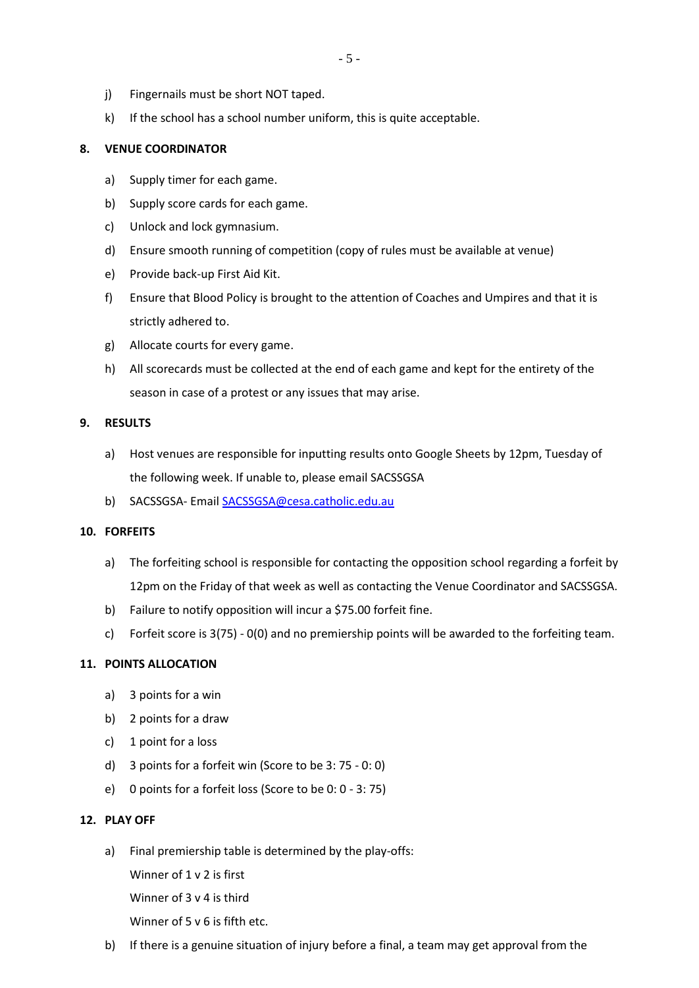- j) Fingernails must be short NOT taped.
- k) If the school has a school number uniform, this is quite acceptable.

## **8. VENUE COORDINATOR**

- a) Supply timer for each game.
- b) Supply score cards for each game.
- c) Unlock and lock gymnasium.
- d) Ensure smooth running of competition (copy of rules must be available at venue)
- e) Provide back-up First Aid Kit.
- f) Ensure that Blood Policy is brought to the attention of Coaches and Umpires and that it is strictly adhered to.
- g) Allocate courts for every game.
- h) All scorecards must be collected at the end of each game and kept for the entirety of the season in case of a protest or any issues that may arise.

## **9. RESULTS**

- a) Host venues are responsible for inputting results onto Google Sheets by 12pm, Tuesday of the following week. If unable to, please email SACSSGSA
- b) SACSSGSA- Email [SACSSGSA@cesa.catholic.edu.au](mailto:SACSSGSA@cesa.catholic.edu.au)

## **10. FORFEITS**

- a) The forfeiting school is responsible for contacting the opposition school regarding a forfeit by 12pm on the Friday of that week as well as contacting the Venue Coordinator and SACSSGSA.
- b) Failure to notify opposition will incur a \$75.00 forfeit fine.
- c) Forfeit score is 3(75) 0(0) and no premiership points will be awarded to the forfeiting team.

#### **11. POINTS ALLOCATION**

- a) 3 points for a win
- b) 2 points for a draw
- c) 1 point for a loss
- d) 3 points for a forfeit win (Score to be 3: 75 0: 0)
- e) 0 points for a forfeit loss (Score to be 0: 0 3: 75)

#### **12. PLAY OFF**

a) Final premiership table is determined by the play-offs:

Winner of 1 v 2 is first

Winner of 3 v 4 is third

Winner of 5 v 6 is fifth etc.

b) If there is a genuine situation of injury before a final, a team may get approval from the